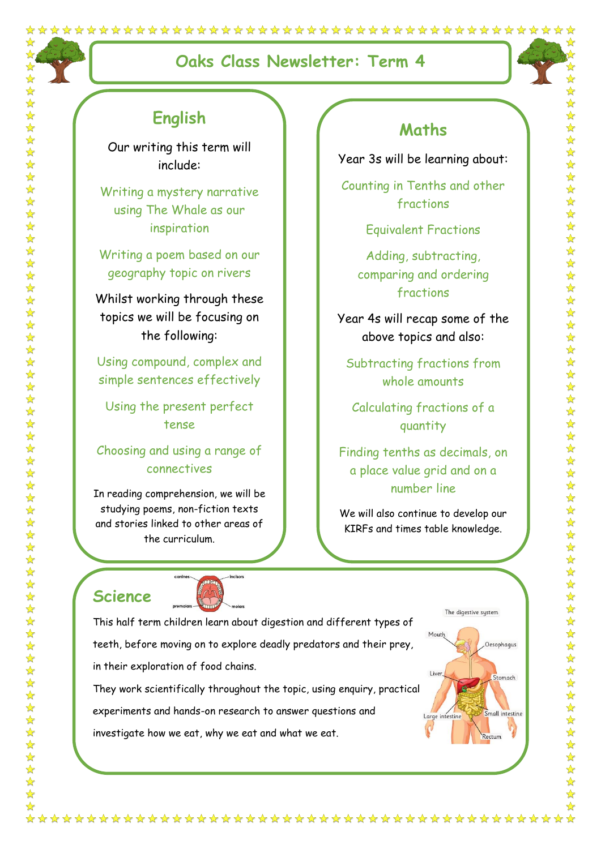# **Oaks Class Newsletter: Term 4**



# **English**

Our writing this term will include:

Writing a mystery narrative using The Whale as our inspiration

Writing a poem based on our geography topic on rivers

Whilst working through these topics we will be focusing on the following:

Using compound, complex and simple sentences effectively

Using the present perfect tense

Choosing and using a range of connectives

In reading comprehension, we will be studying poems, non-fiction texts and stories linked to other areas of the curriculum.

in their exploration of food chains.

### **Maths**

Year 3s will be learning about:

Counting in Tenths and other fractions

Equivalent Fractions

Adding, subtracting, comparing and ordering fractions

Year 4s will recap some of the above topics and also:

Subtracting fractions from whole amounts

Calculating fractions of a quantity

Finding tenths as decimals, on a place value grid and on a number line

We will also continue to develop our KIRFs and times table knowledge.

# **Science**

 $\frac{1}{\sqrt{2}}$ 





experiments and hands-on research to answer questions and

investigate how we eat, why we eat and what we eat.

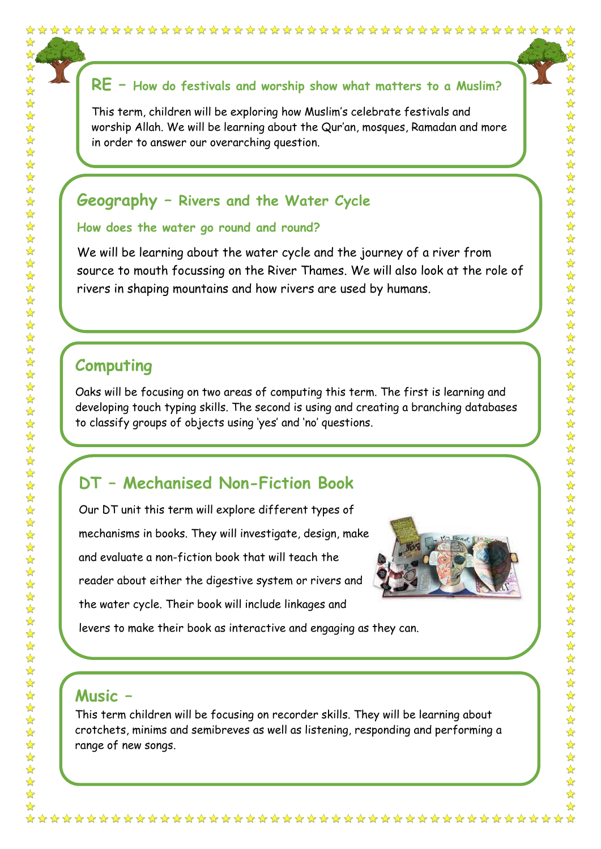## **RE – How do festivals and worship show what matters to a Muslim?**

This term, children will be exploring how Muslim's celebrate festivals and worship Allah. We will be learning about the Qur'an, mosques, Ramadan and more in order to answer our overarching question.

### **Geography – Rivers and the Water Cycle**

#### **How does the water go round and round?**

We will be learning about the water cycle and the journey of a river from source to mouth focussing on the River Thames. We will also look at the role of rivers in shaping mountains and how rivers are used by humans.

## **Computing**

☆  $\frac{1}{2}$  $\frac{1}{\sqrt{2}}$ 

 $\frac{1}{\sqrt{2}}$ 

 $\frac{1}{\sqrt{2}}$ 

Oaks will be focusing on two areas of computing this term. The first is learning and developing touch typing skills. The second is using and creating a branching databases to classify groups of objects using 'yes' and 'no' questions.

### **DT – Mechanised Non-Fiction Book**

Our DT unit this term will explore different types of mechanisms in books. They will investigate, design, make and evaluate a non-fiction book that will teach the reader about either the digestive system or rivers and the water cycle. Their book will include linkages and



levers to make their book as interactive and engaging as they can.

### **Music –**

This term children will be focusing on recorder skills. They will be learning about crotchets, minims and semibreves as well as listening, responding and performing a range of new songs.